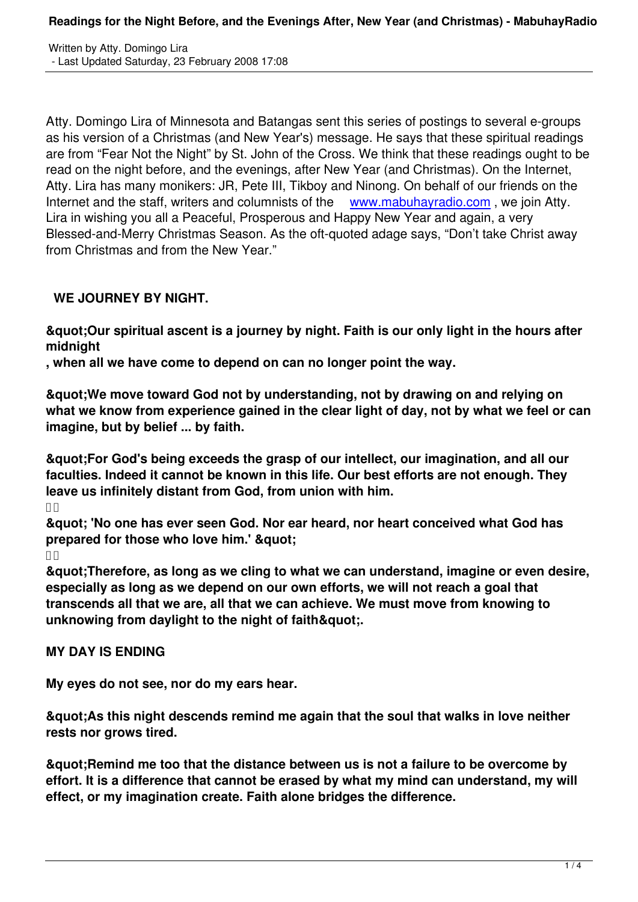Atty. Domingo Lira of Minnesota and Batangas sent this series of postings to several e-groups as his version of a Christmas (and New Year's) message. He says that these spiritual readings are from "Fear Not the Night" by St. John of the Cross. We think that these readings ought to be read on the night before, and the evenings, after New Year (and Christmas). On the Internet, Atty. Lira has many monikers: JR, Pete III, Tikboy and Ninong. On behalf of our friends on the Internet and the staff, writers and columnists of the www.mabuhayradio.com, we join Atty. Lira in wishing you all a Peaceful, Prosperous and Happy New Year and again, a very Blessed-and-Merry Christmas Season. As the oft-quoted adage says, "Don't take Christ away from Christmas and from the New Year."

## **WE JOURNEY BY NIGHT.**

**"Our spiritual ascent is a journey by night. Faith is our only light in the hours after midnight**

**, when all we have come to depend on can no longer point the way.**

**"We move toward God not by understanding, not by drawing on and relying on what we know from experience gained in the clear light of day, not by what we feel or can imagine, but by belief ... by faith.**

**"For God's being exceeds the grasp of our intellect, our imagination, and all our faculties. Indeed it cannot be known in this life. Our best efforts are not enough. They leave us infinitely distant from God, from union with him.**

 $\Pi$ 

**" 'No one has ever seen God. Nor ear heard, nor heart conceived what God has** prepared for those who love him.' & quot:

 $\prod$ 

**"Therefore, as long as we cling to what we can understand, imagine or even desire, especially as long as we depend on our own efforts, we will not reach a goal that transcends all that we are, all that we can achieve. We must move from knowing to** unknowing from daylight to the night of faith&quot:.

## **MY DAY IS ENDING**

**My eyes do not see, nor do my ears hear.**

**"As this night descends remind me again that the soul that walks in love neither rests nor grows tired.**

**"Remind me too that the distance between us is not a failure to be overcome by effort. It is a difference that cannot be erased by what my mind can understand, my will effect, or my imagination create. Faith alone bridges the difference.**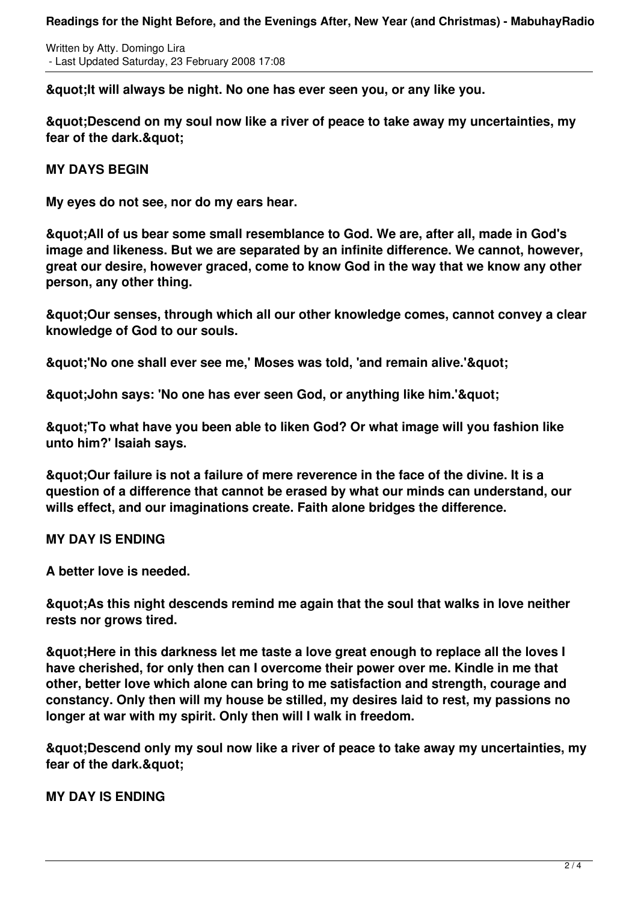Written by Atty. Domingo Lira - Last Updated Saturday, 23 February 2008 17:08

**"It will always be night. No one has ever seen you, or any like you.**

**"Descend on my soul now like a river of peace to take away my uncertainties, my** fear of the dark.& quot:

**MY DAYS BEGIN**

**My eyes do not see, nor do my ears hear.**

**"All of us bear some small resemblance to God. We are, after all, made in God's image and likeness. But we are separated by an infinite difference. We cannot, however, great our desire, however graced, come to know God in the way that we know any other person, any other thing.**

**"Our senses, through which all our other knowledge comes, cannot convey a clear knowledge of God to our souls.**

 $&$ quot;'No one shall ever see me,' Moses was told, 'and remain alive.'"

**&guot: John says: 'No one has ever seen God, or anything like him.'&guot:** 

**"'To what have you been able to liken God? Or what image will you fashion like unto him?' Isaiah says.**

**"Our failure is not a failure of mere reverence in the face of the divine. It is a question of a difference that cannot be erased by what our minds can understand, our wills effect, and our imaginations create. Faith alone bridges the difference.**

**MY DAY IS ENDING**

**A better love is needed.**

**"As this night descends remind me again that the soul that walks in love neither rests nor grows tired.**

**"Here in this darkness let me taste a love great enough to replace all the loves I have cherished, for only then can I overcome their power over me. Kindle in me that other, better love which alone can bring to me satisfaction and strength, courage and constancy. Only then will my house be stilled, my desires laid to rest, my passions no longer at war with my spirit. Only then will I walk in freedom.**

**"Descend only my soul now like a river of peace to take away my uncertainties, my** fear of the dark.& quot:

**MY DAY IS ENDING**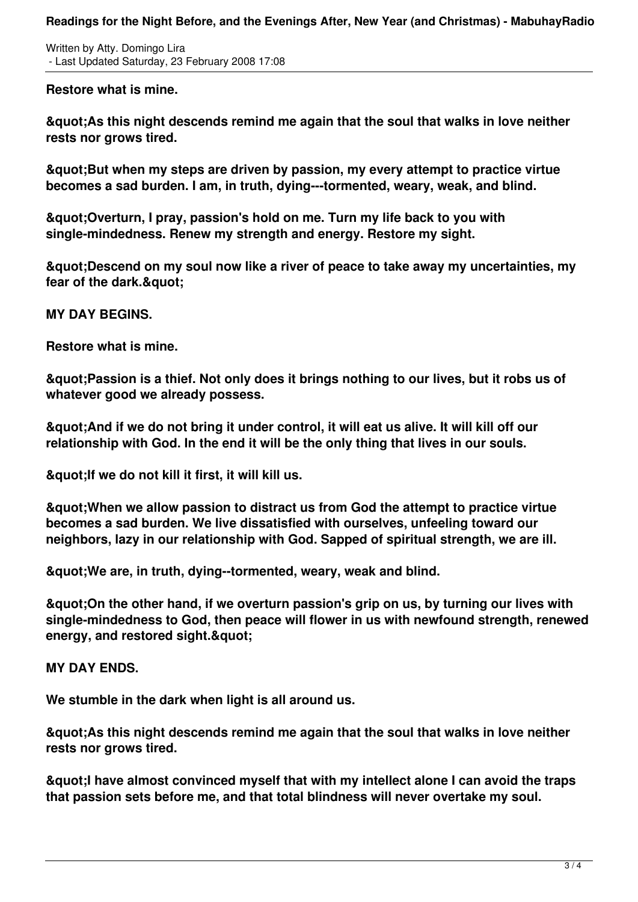**Readings for the Night Before, and the Evenings After, New Year (and Christmas) - MabuhayRadio**

Written by Atty. Domingo Lira - Last Updated Saturday, 23 February 2008 17:08

**Restore what is mine.**

**"As this night descends remind me again that the soul that walks in love neither rests nor grows tired.**

**"But when my steps are driven by passion, my every attempt to practice virtue becomes a sad burden. I am, in truth, dying---tormented, weary, weak, and blind.**

**"Overturn, I pray, passion's hold on me. Turn my life back to you with single-mindedness. Renew my strength and energy. Restore my sight.**

**"Descend on my soul now like a river of peace to take away my uncertainties, my** fear of the dark.&quot:

**MY DAY BEGINS.**

**Restore what is mine.**

**"Passion is a thief. Not only does it brings nothing to our lives, but it robs us of whatever good we already possess.**

**"And if we do not bring it under control, it will eat us alive. It will kill off our relationship with God. In the end it will be the only thing that lives in our souls.**

**"If we do not kill it first, it will kill us.**

**"When we allow passion to distract us from God the attempt to practice virtue becomes a sad burden. We live dissatisfied with ourselves, unfeeling toward our neighbors, lazy in our relationship with God. Sapped of spiritual strength, we are ill.**

**"We are, in truth, dying--tormented, weary, weak and blind.**

**"On the other hand, if we overturn passion's grip on us, by turning our lives with single-mindedness to God, then peace will flower in us with newfound strength, renewed energy, and restored sight. & quot;** 

**MY DAY ENDS.**

**We stumble in the dark when light is all around us.**

**"As this night descends remind me again that the soul that walks in love neither rests nor grows tired.**

**"I have almost convinced myself that with my intellect alone I can avoid the traps that passion sets before me, and that total blindness will never overtake my soul.**